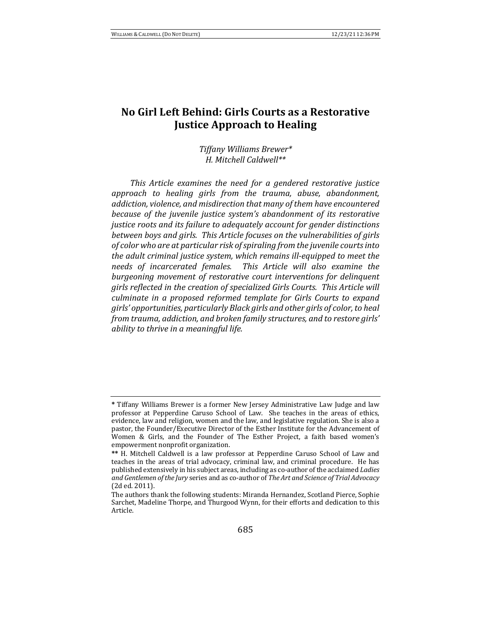# No Girl Left Behind: Girls Courts as a Restorative **Justice Approach to Healing**

*Tiffany Williams Brewer\* H. Mitchell Caldwell\*\**

This Article examines the need for a gendered restorative justice *approach to healing girls from the trauma, abuse, abandonment,*  addiction, violence, and misdirection that many of them have encountered *because of the juvenile justice system's abandonment of its restorative justice roots and its failure to adequately account for gender distinctions between boys and girls. This Article focuses on the vulnerabilities of girls* of color who are at particular risk of spiraling from the juvenile courts into the adult criminal justice system, which remains ill-equipped to meet the *needs* of incarcerated females. This Article will also examine the *burgeoning movement of restorative court interventions for delinguent* girls reflected in the creation of specialized Girls Courts. This Article will *culminate in a proposed reformed template for Girls Courts to expand girls' opportunities, particularly Black girls and other girls of color, to heal from trauma, addiction, and broken family structures, and to restore girls' ability* to thrive in a meaningful life.

**<sup>\*</sup>** Tiffany Williams Brewer is a former New Jersey Administrative Law Judge and law professor at Pepperdine Caruso School of Law. She teaches in the areas of ethics, evidence, law and religion, women and the law, and legislative regulation. She is also a pastor, the Founder/Executive Director of the Esther Institute for the Advancement of Women & Girls, and the Founder of The Esther Project, a faith based women's empowerment nonprofit organization.

<sup>\*\*</sup> H. Mitchell Caldwell is a law professor at Pepperdine Caruso School of Law and teaches in the areas of trial advocacy, criminal law, and criminal procedure. He has published extensively in his subject areas, including as co-author of the acclaimed *Ladies* and Gentlemen of the Jury series and as co-author of *The Art and Science of Trial Advocacy* (2d ed. 2011).

The authors thank the following students: Miranda Hernandez, Scotland Pierce, Sophie Sarchet, Madeline Thorpe, and Thurgood Wynn, for their efforts and dedication to this Article.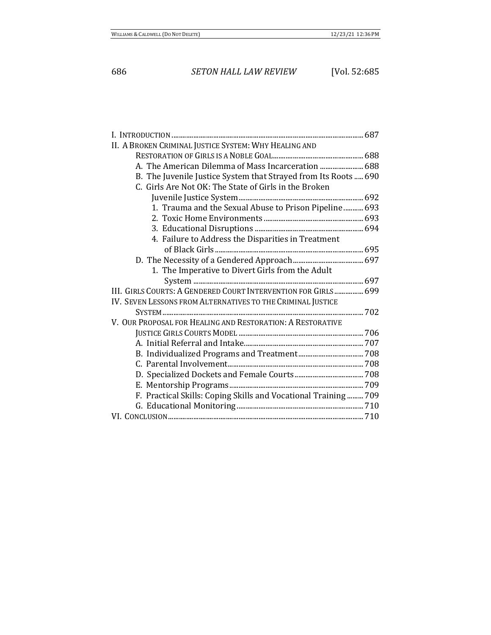| II. A BROKEN CRIMINAL JUSTICE SYSTEM: WHY HEALING AND           |  |
|-----------------------------------------------------------------|--|
|                                                                 |  |
| A. The American Dilemma of Mass Incarceration  688              |  |
| B. The Juvenile Justice System that Strayed from Its Roots  690 |  |
| C. Girls Are Not OK: The State of Girls in the Broken           |  |
|                                                                 |  |
| 1. Trauma and the Sexual Abuse to Prison Pipeline  693          |  |
|                                                                 |  |
|                                                                 |  |
| 4. Failure to Address the Disparities in Treatment              |  |
|                                                                 |  |
|                                                                 |  |
| 1. The Imperative to Divert Girls from the Adult                |  |
|                                                                 |  |
| III. GIRLS COURTS: A GENDERED COURT INTERVENTION FOR GIRLS  699 |  |
| IV. SEVEN LESSONS FROM ALTERNATIVES TO THE CRIMINAL JUSTICE     |  |
|                                                                 |  |
| V. OUR PROPOSAL FOR HEALING AND RESTORATION: A RESTORATIVE      |  |
|                                                                 |  |
|                                                                 |  |
|                                                                 |  |
|                                                                 |  |
|                                                                 |  |
|                                                                 |  |
| F. Practical Skills: Coping Skills and Vocational Training 709  |  |
|                                                                 |  |
|                                                                 |  |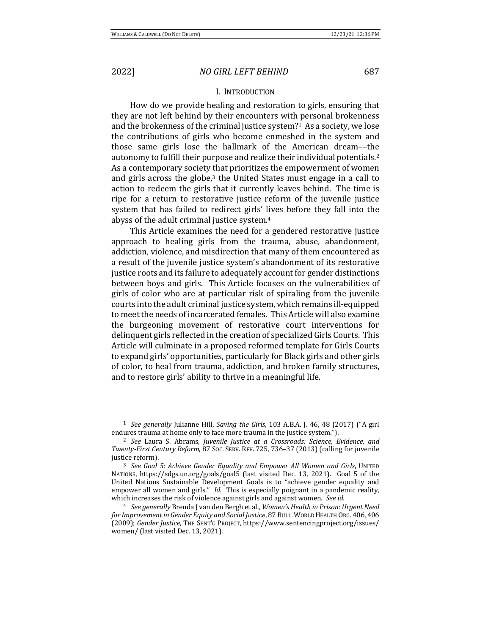### I. INTRODUCTION

How do we provide healing and restoration to girls, ensuring that they are not left behind by their encounters with personal brokenness and the brokenness of the criminal justice system?<sup>1</sup> As a society, we lose the contributions of girls who become enmeshed in the system and those same girls lose the hallmark of the American dream––the autonomy to fulfill their purpose and realize their individual potentials.<sup>2</sup> As a contemporary society that prioritizes the empowerment of women and girls across the globe, $3$  the United States must engage in a call to action to redeem the girls that it currently leaves behind. The time is ripe for a return to restorative justice reform of the juvenile justice system that has failed to redirect girls' lives before they fall into the abyss of the adult criminal justice system.<sup>4</sup>

This Article examines the need for a gendered restorative justice approach to healing girls from the trauma, abuse, abandonment, addiction, violence, and misdirection that many of them encountered as a result of the juvenile justice system's abandonment of its restorative justice roots and its failure to adequately account for gender distinctions between boys and girls. This Article focuses on the vulnerabilities of girls of color who are at particular risk of spiraling from the juvenile courts into the adult criminal justice system, which remains ill-equipped to meet the needs of incarcerated females. This Article will also examine the burgeoning movement of restorative court interventions for delinquent girls reflected in the creation of specialized Girls Courts. This Article will culminate in a proposed reformed template for Girls Courts to expand girls' opportunities, particularly for Black girls and other girls of color, to heal from trauma, addiction, and broken family structures, and to restore girls' ability to thrive in a meaningful life.

<sup>&</sup>lt;sup>1</sup> *See generally* Julianne Hill, *Saving the Girls*, 103 A.B.A. J. 46, 48 (2017) ("A girl endures trauma at home only to face more trauma in the justice system.").

<sup>&</sup>lt;sup>2</sup> See Laura S. Abrams, Juvenile Justice at a Crossroads: Science, Evidence, and *Twenty-First Century Reform,* 87 Soc. SERV. REV. 725, 736-37 (2013) (calling for juvenile justice reform).

<sup>&</sup>lt;sup>3</sup> See Goal 5: Achieve Gender Equality and Empower All Women and Girls, UNITED NATIONS, https://sdgs.un.org/goals/goal5 (last visited Dec. 13, 2021). Goal 5 of the United Nations Sustainable Development Goals is to "achieve gender equality and empower all women and girls." *Id.* This is especially poignant in a pandemic reality, which increases the risk of violence against girls and against women. See id.

<sup>&</sup>lt;sup>4</sup> *See generally* Brenda J van den Bergh et al., *Women's Health in Prison: Urgent Need* for Improvement in Gender Equity and Social Justice, 87 BULL. WORLD HEALTH ORG. 406, 406 (2009); Gender Justice, THE SENT'G PROJECT, https://www.sentencingproject.org/issues/ women/ (last visited Dec. 13, 2021).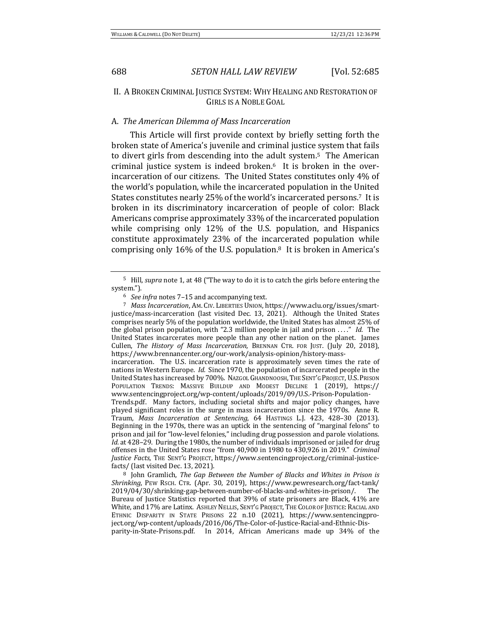# II. A BROKEN CRIMINAL JUSTICE SYSTEM: WHY HEALING AND RESTORATION OF GIRLS IS A NOBLE GOAL

### A. *The American Dilemma of Mass Incarceration*

This Article will first provide context by briefly setting forth the broken state of America's juvenile and criminal justice system that fails to divert girls from descending into the adult system.<sup>5</sup> The American criminal justice system is indeed broken. $6$  It is broken in the overincarceration of our citizens. The United States constitutes only 4% of the world's population, while the incarcerated population in the United States constitutes nearly 25% of the world's incarcerated persons.<sup>7</sup> It is broken in its discriminatory incarceration of people of color: Black Americans comprise approximately 33% of the incarcerated population while comprising only 12% of the U.S. population, and Hispanics constitute approximately 23% of the incarcerated population while comprising only 16% of the U.S. population.<sup>8</sup> It is broken in America's

<sup>&</sup>lt;sup>5</sup> Hill, *supra* note 1, at 48 ("The way to do it is to catch the girls before entering the system.").

<sup>&</sup>lt;sup>6</sup> See infra notes 7-15 and accompanying text.

<sup>&</sup>lt;sup>7</sup> Mass Incarceration, AM. CIV. LIBERTIES UNION, https://www.aclu.org/issues/smartjustice/mass-incarceration (last visited Dec. 13, 2021). Although the United States comprises nearly 5% of the population worldwide, the United States has almost 25% of the global prison population, with "2.3 million people in jail and prison ...." *Id.* The United States incarcerates more people than any other nation on the planet. James Cullen, *The History of Mass Incarceration*, BRENNAN CTR. FOR JUST. (July 20, 2018), https://www.brennancenter.org/our-work/analysis-opinion/history-mass-

incarceration. The U.S. incarceration rate is approximately seven times the rate of nations in Western Europe. *Id.* Since 1970, the population of incarcerated people in the United States has increased by 700%. NAzGOL GHANDNOOSH, THE SENT'G PROJECT, U.S. PRISON POPULATION TRENDS: MASSIVE BUILDUP AND MODEST DECLINE 1 (2019), https:// www.sentencingproject.org/wp-content/uploads/2019/09/U.S.-Prison-Population-Trends.pdf. Many factors, including societal shifts and major policy changes, have played significant roles in the surge in mass incarceration since the 1970s. Anne R. Traum, Mass Incarceration at Sentencing, 64 HASTINGS L.J. 423, 428-30 (2013). Beginning in the 1970s, there was an uptick in the sentencing of "marginal felons" to prison and jail for "low-level felonies," including drug possession and parole violations.

*Id.* at 428–29. During the 1980s, the number of individuals imprisoned or jailed for drug offenses in the United States rose "from 40,900 in 1980 to 430,926 in 2019." *Criminal Justice Facts*, THE SENT'G PROJECT, https://www.sentencingproject.org/criminal-justicefacts/ (last visited Dec. 13, 2021).

<sup>&</sup>lt;sup>8</sup> John Gramlich, *The Gap Between the Number of Blacks and Whites in Prison is Shrinking*, PEW RSCH. CTR. (Apr. 30, 2019), https://www.pewresearch.org/fact-tank/ 2019/04/30/shrinking-gap-between-number-of-blacks-and-whites-in-prison/. The Bureau of Justice Statistics reported that 39% of state prisoners are Black, 41% are White, and 17% are Latinx. ASHLEY NELLIS, SENT'G PROJECT, THE COLOR OF JUSTICE: RACIAL AND ETHNIC DISPARITY IN STATE PRISONS 22 n.10 (2021), https://www.sentencingproject.org/wp-content/uploads/2016/06/The-Color-of-Justice-Racial-and-Ethnic-Disparity-in-State-Prisons.pdf. In 2014, African Americans made up 34% of the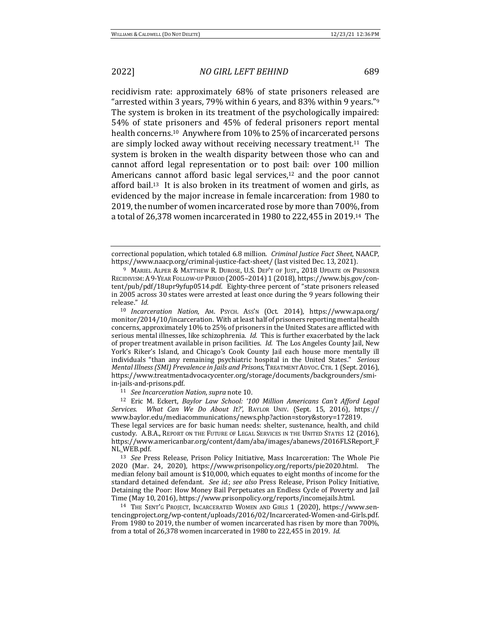recidivism rate: approximately 68% of state prisoners released are "arrested within 3 years, 79% within 6 years, and 83% within 9 years."<sup>9</sup> The system is broken in its treatment of the psychologically impaired: 54% of state prisoners and 45% of federal prisoners report mental health concerns.<sup>10</sup> Anywhere from 10% to 25% of incarcerated persons are simply locked away without receiving necessary treatment.<sup>11</sup> The system is broken in the wealth disparity between those who can and cannot afford legal representation or to post bail: over 100 million Americans cannot afford basic legal services, $12$  and the poor cannot afford bail.<sup>13</sup> It is also broken in its treatment of women and girls, as evidenced by the major increase in female incarceration: from 1980 to 2019, the number of women incarcerated rose by more than 700%, from a total of 26,378 women incarcerated in 1980 to 222,455 in 2019.<sup>14</sup> The

<sup>11</sup> *See Incarceration Nation, supra* note 10.

<sup>12</sup> Eric M. Eckert, *Baylor Law School: '100 Million Americans Can't Afford Legal* Services. What Can We Do About It?', BAYLOR UNIV. (Sept. 15, 2016), https:// www.baylor.edu/mediacommunications/news.php?action=story&story=172819. These legal services are for basic human needs: shelter, sustenance, health, and child custody. A.B.A., REPORT ON THE FUTURE OF LEGAL SERVICES IN THE UNITED STATES 12 (2016), https://www.americanbar.org/content/dam/aba/images/abanews/2016FLSReport\_F NL\_WEB.pdf.

<sup>13</sup> *See* Press Release, Prison Policy Initiative, Mass Incarceration: The Whole Pie 2020 (Mar. 24, 2020), https://www.prisonpolicy.org/reports/pie2020.html. The median felony bail amount is  $$10,000$ , which equates to eight months of income for the standard detained defendant. See id.; see also Press Release, Prison Policy Initiative, Detaining the Poor: How Money Bail Perpetuates an Endless Cycle of Poverty and Jail Time (May 10, 2016), https://www.prisonpolicy.org/reports/incomejails.html.

<sup>14</sup> THE SENT'G PROJECT, INCARCERATED WOMEN AND GIRLS 1 (2020), https://www.sentencingproject.org/wp-content/uploads/2016/02/Incarcerated-Women-and-Girls.pdf. From 1980 to 2019, the number of women incarcerated has risen by more than 700%, from a total of 26,378 women incarcerated in 1980 to 222,455 in 2019. *Id.* 

correctional population, which totaled 6.8 million. *Criminal Justice Fact Sheet*, NAACP, https://www.naacp.org/criminal-justice-fact-sheet/ (last visited Dec. 13, 2021).

<sup>&</sup>lt;sup>9</sup> MARIEL ALPER & MATTHEW R. DUROSE, U.S. DEP'T OF JUST., 2018 UPDATE ON PRISONER RECIDIVISM: A 9-YEAR FOLLOW-UP PERIOD (2005–2014) 1 (2018), https://www.bjs.gov/content/pub/pdf/18upr9yfup0514.pdf. Eighty-three percent of "state prisoners released in 2005 across 30 states were arrested at least once during the 9 years following their release." Id.

<sup>10</sup> *Incarceration Nation*, AM. PSYCH. ASS'N (Oct. 2014), https://www.apa.org/ monitor/2014/10/incarceration. With at least half of prisoners reporting mental health concerns, approximately 10% to 25% of prisoners in the United States are afflicted with serious mental illnesses, like schizophrenia. *Id.* This is further exacerbated by the lack of proper treatment available in prison facilities. *Id.* The Los Angeles County Jail, New York's Riker's Island, and Chicago's Cook County Jail each house more mentally ill individuals "than any remaining psychiatric hospital in the United States." *Serious Mental Illness (SMI) Prevalence in Jails and Prisons*, TREATMENT ADVOC. CTR. 1 (Sept. 2016), https://www.treatmentadvocacycenter.org/storage/documents/backgrounders/smiin-jails-and-prisons.pdf.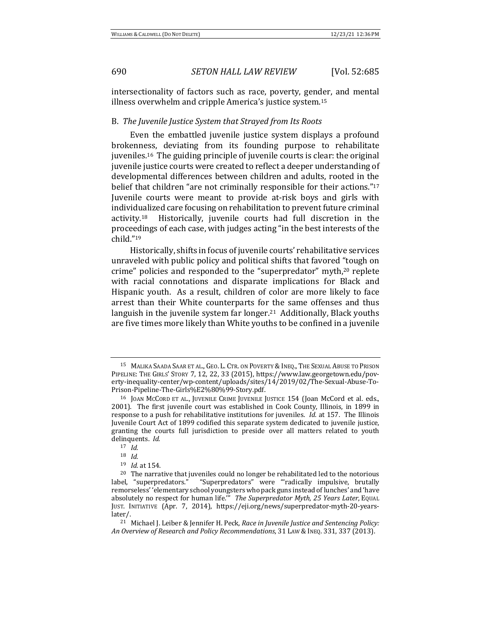intersectionality of factors such as race, poverty, gender, and mental illness overwhelm and cripple America's justice system.<sup>15</sup>

### B. *The Juvenile Justice System that Strayed from Its Roots*

Even the embattled juvenile justice system displays a profound brokenness, deviating from its founding purpose to rehabilitate juveniles.<sup>16</sup> The guiding principle of juvenile courts is clear: the original juvenile justice courts were created to reflect a deeper understanding of developmental differences between children and adults, rooted in the belief that children "are not criminally responsible for their actions."<sup>17</sup> Juvenile courts were meant to provide at-risk boys and girls with individualized care focusing on rehabilitation to prevent future criminal activity.<sup>18</sup> Historically, juvenile courts had full discretion in the proceedings of each case, with judges acting "in the best interests of the child."19

Historically, shifts in focus of juvenile courts' rehabilitative services unraveled with public policy and political shifts that favored "tough on crime" policies and responded to the "superpredator" myth,<sup>20</sup> replete with racial connotations and disparate implications for Black and Hispanic youth. As a result, children of color are more likely to face arrest than their White counterparts for the same offenses and thus languish in the juvenile system far longer.<sup>21</sup> Additionally, Black youths are five times more likely than White youths to be confined in a juvenile

<sup>&</sup>lt;sup>15</sup> MALIKA SAADA SAAR ET AL., GEO. L. CTR. ON POVERTY & INEQ., THE SEXUAL ABUSE TO PRISON PIPELINE: THE GIRLS' STORY 7, 12, 22, 33 (2015), https://www.law.georgetown.edu/poverty-inequality-center/wp-content/uploads/sites/14/2019/02/The-Sexual-Abuse-To-Prison-Pipeline-The-Girls%E2%80%99-Story.pdf.

<sup>&</sup>lt;sup>16</sup> JOAN MCCORD ET AL., JUVENILE CRIME JUVENILE JUSTICE 154 (Joan McCord et al. eds., 2001). The first juvenile court was established in Cook County, Illinois, in 1899 in response to a push for rehabilitative institutions for juveniles. *Id.* at 157. The Illinois Juvenile Court Act of 1899 codified this separate system dedicated to juvenile justice, granting the courts full jurisdiction to preside over all matters related to youth delinquents. *Id.* 

<sup>17</sup> *Id.*

<sup>18</sup> *Id.*

<sup>19</sup> *Id.* at 154.

 $20$  The narrative that juveniles could no longer be rehabilitated led to the notorious label, "superpredators." "Superpredators" were "radically impulsive, brutally remorseless' 'elementary school youngsters who pack guns instead of lunches' and 'have absolutely no respect for human life." *The Superpredator Myth, 25 Years Later*, EQUAL JUST. INITIATIVE (Apr. 7, 2014), https://eji.org/news/superpredator-myth-20-yearslater/.

<sup>&</sup>lt;sup>21</sup> Michael I. Leiber & Iennifer H. Peck. *Race in Juvenile Justice and Sentencing Policy: An Overview of Research and Policy Recommendations*, 31 LAW &INEQ. 331, 337 (2013).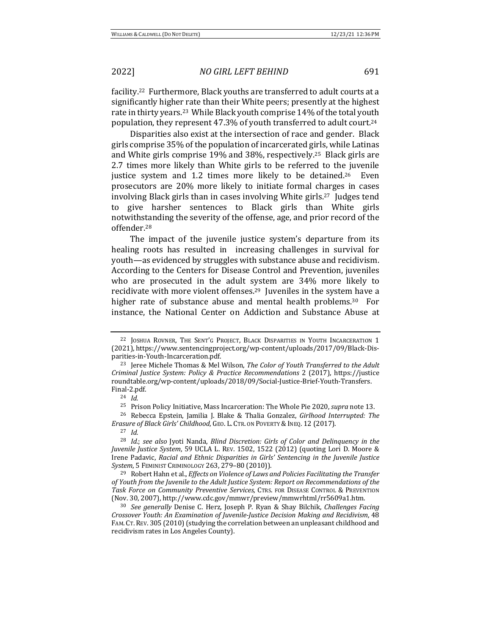facility.<sup>22</sup> Furthermore, Black youths are transferred to adult courts at a significantly higher rate than their White peers; presently at the highest rate in thirty years.<sup>23</sup> While Black youth comprise 14% of the total youth population, they represent 47.3% of youth transferred to adult court.<sup>24</sup>

Disparities also exist at the intersection of race and gender. Black girls comprise 35% of the population of incarcerated girls, while Latinas and White girls comprise 19% and 38%, respectively.<sup>25</sup> Black girls are 2.7 times more likely than White girls to be referred to the juvenile justice system and  $1.2$  times more likely to be detained.<sup>26</sup> Even prosecutors are 20% more likely to initiate formal charges in cases involving Black girls than in cases involving White girls.<sup>27</sup> Judges tend to give harsher sentences to Black girls than White girls notwithstanding the severity of the offense, age, and prior record of the offender.28 

The impact of the juvenile justice system's departure from its healing roots has resulted in increasing challenges in survival for youth—as evidenced by struggles with substance abuse and recidivism. According to the Centers for Disease Control and Prevention, juveniles who are prosecuted in the adult system are 34% more likely to recidivate with more violent offenses.<sup>29</sup> Juveniles in the system have a higher rate of substance abuse and mental health problems.<sup>30</sup> For instance, the National Center on Addiction and Substance Abuse at

<sup>25</sup> Prison Policy Initiative, Mass Incarceration: The Whole Pie 2020, *supra* note 13.

<sup>26</sup> Rebecca Epstein, Jamilia J. Blake & Thalia Gonzalez, *Girlhood Interrupted: The Erasure of Black Girls' Childhood*, GEO. L. CTR. ON POVERTY & INEQ. 12 (2017).

<sup>27</sup> *Id.*

<sup>28</sup> *Id.*; see also Jyoti Nanda, Blind Discretion: Girls of Color and Delinquency in the *Juvenile Justice System*, 59 UCLA L. REV. 1502, 1522 (2012) (quoting Lori D. Moore & Irene Padavic, Racial and Ethnic Disparities in Girls' Sentencing in the Juvenile Justice *System*, 5 FEMINIST CRIMINOLOGY 263, 279–80 (2010)).

<sup>29</sup> Robert Hahn et al., *Effects on Violence of Laws and Policies Facilitating the Transfer* of Youth from the Juvenile to the Adult Justice System: Report on Recommendations of the Task Force on Community Preventive Services, CTRS. FOR DISEASE CONTROL & PREVENTION (Nov. 30, 2007), http://www.cdc.gov/mmwr/preview/mmwrhtml/rr5609a1.htm.

<sup>&</sup>lt;sup>22</sup> JOSHUA ROVNER, THE SENT'G PROJECT, BLACK DISPARITIES IN YOUTH INCARCERATION 1 (2021), https://www.sentencingproject.org/wp-content/uploads/2017/09/Black-Disparities-in-Youth-Incarceration.pdf.

<sup>&</sup>lt;sup>23</sup> Jeree Michele Thomas & Mel Wilson, *The Color of Youth Transferred to the Adult Criminal Justice System: Policy & Practice Recommendations* 2 (2017), https://justice roundtable.org/wp-content/uploads/2018/09/Social-Justice-Brief-Youth-Transfers. Final-2.pdf. 

<sup>24</sup> *Id.*

<sup>&</sup>lt;sup>30</sup> *See generally* Denise C. Herz, Joseph P. Ryan & Shay Bilchik, *Challenges Facing Crossover Youth: An Examination of Juvenile-Justice Decision Making and Recidivism, 48* FAM. CT. REV. 305 (2010) (studying the correlation between an unpleasant childhood and recidivism rates in Los Angeles County).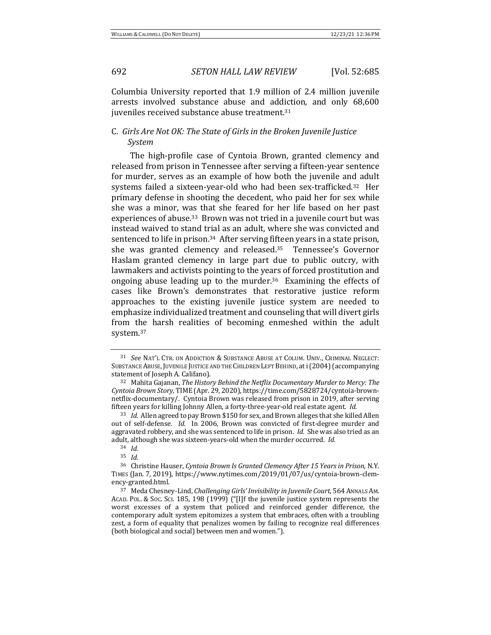Columbia University reported that 1.9 million of 2.4 million juvenile arrests involved substance abuse and addiction, and only 68,600 juveniles received substance abuse treatment.<sup>31</sup>

# C. Girls Are Not OK: The State of Girls in the Broken Juvenile Justice *System*

The high-profile case of Cyntoia Brown, granted clemency and released from prison in Tennessee after serving a fifteen-year sentence for murder, serves as an example of how both the juvenile and adult systems failed a sixteen-year-old who had been sex-trafficked.<sup>32</sup> Her primary defense in shooting the decedent, who paid her for sex while she was a minor, was that she feared for her life based on her past experiences of abuse.<sup>33</sup> Brown was not tried in a juvenile court but was instead waived to stand trial as an adult, where she was convicted and sentenced to life in prison.<sup>34</sup> After serving fifteen years in a state prison, she was granted clemency and released. $35$  Tennessee's Governor Haslam granted clemency in large part due to public outcry, with lawmakers and activists pointing to the years of forced prostitution and ongoing abuse leading up to the murder.<sup>36</sup> Examining the effects of cases like Brown's demonstrates that restorative justice reform approaches to the existing juvenile justice system are needed to emphasize individualized treatment and counseling that will divert girls from the harsh realities of becoming enmeshed within the adult system.37 

<sup>&</sup>lt;sup>31</sup> See NAT'L CTR. ON ADDICTION & SUBSTANCE ABUSE AT COLUM. UNIV., CRIMINAL NEGLECT: SUBSTANCE ABUSE, JUVENILE JUSTICE AND THE CHILDREN LEFT BEHIND, at i (2004) (accompanying statement of Joseph A. Califano).

<sup>&</sup>lt;sup>32</sup> Mahita Gajanan, *The History Behind the Netflix Documentary Murder to Mercy: The Cyntoia Brown Story*, TIME (Apr. 29, 2020), https://time.com/5828724/cyntoia-brownnetflix-documentary/. Cyntoia Brown was released from prison in 2019, after serving fifteen years for killing Johnny Allen, a forty-three-year-old real estate agent. *Id.* 

<sup>33</sup> *Id.* Allen agreed to pay Brown \$150 for sex, and Brown alleges that she killed Allen out of self-defense. *Id.* In 2006, Brown was convicted of first-degree murder and aggravated robbery, and she was sentenced to life in prison. *Id.* She was also tried as an adult, although she was sixteen-years-old when the murder occurred. *Id.* 

<sup>34</sup> *Id.*

<sup>35</sup> *Id.* 

<sup>&</sup>lt;sup>36</sup> Christine Hauser, *Cyntoia Brown Is Granted Clemency After* 15 Years in Prison, N.Y. TIMES (Jan. 7, 2019), https://www.nytimes.com/2019/01/07/us/cyntoia-brown-clemency-granted.html.

<sup>37</sup> Meda Chesney-Lind, *Challenging Girls' Invisibility in Juvenile Court*, 564 ANNALS AM. ACAD. POL. & Soc. Sci. 185, 198 (1999) ("[I]f the juvenile justice system represents the worst excesses of a system that policed and reinforced gender difference, the contemporary adult system epitomizes a system that embraces, often with a troubling zest, a form of equality that penalizes women by failing to recognize real differences (both biological and social) between men and women.").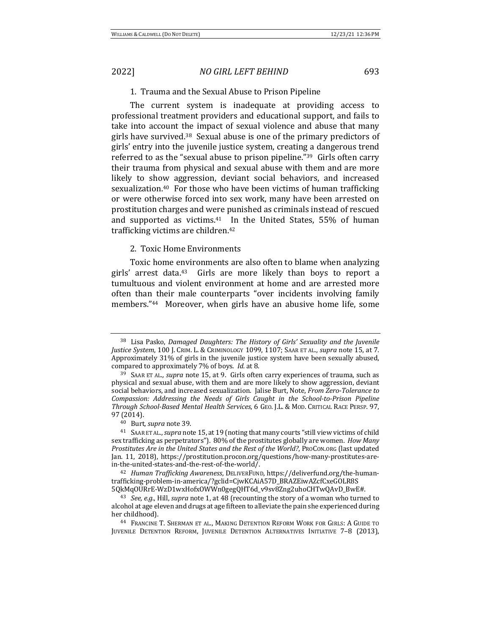### 1. Trauma and the Sexual Abuse to Prison Pipeline

The current system is inadequate at providing access to professional treatment providers and educational support, and fails to take into account the impact of sexual violence and abuse that many girls have survived. $38$  Sexual abuse is one of the primary predictors of girls' entry into the juvenile justice system, creating a dangerous trend referred to as the "sexual abuse to prison pipeline." $39$  Girls often carry their trauma from physical and sexual abuse with them and are more likely to show aggression, deviant social behaviors, and increased sexualization.<sup>40</sup> For those who have been victims of human trafficking or were otherwise forced into sex work, many have been arrested on prostitution charges and were punished as criminals instead of rescued and supported as victims. $41$  In the United States, 55% of human trafficking victims are children.<sup>42</sup>

### 2. Toxic Home Environments

Toxic home environments are also often to blame when analyzing girls' arrest data.<sup>43</sup> Girls are more likely than boys to report a tumultuous and violent environment at home and are arrested more often than their male counterparts "over incidents involving family members."<sup>44</sup> Moreover, when girls have an abusive home life, some

<sup>&</sup>lt;sup>38</sup> Lisa Pasko, *Damaged Daughters: The History of Girls' Sexuality and the Juvenile Justice System*, 100 J. CRIM. L. & CRIMINOLOGY 1099, 1107; SAAR ET AL., *supra* note 15, at 7. Approximately 31% of girls in the juvenile justice system have been sexually abused, compared to approximately 7% of boys. *Id.* at 8.

<sup>&</sup>lt;sup>39</sup> SAAR ET AL., *supra* note 15, at 9. Girls often carry experiences of trauma, such as physical and sexual abuse, with them and are more likely to show aggression, deviant social behaviors, and increased sexualization. Jalise Burt, Note, *From Zero-Tolerance to Compassion:* Addressing the Needs of Girls Caught in the School-to-Prison Pipeline *Through School-Based Mental Health Services*, 6 GEO. J.L. & MOD. CRITICAL RACE PERSP. 97, 97 (2014).

<sup>&</sup>lt;sup>40</sup> Burt, *supra* note 39.

<sup>&</sup>lt;sup>41</sup> SAAR ET AL., *supra* note 15, at 19 (noting that many courts "still view victims of child sex trafficking as perpetrators"). 80% of the prostitutes globally are women. *How Many Prostitutes Are in the United States and the Rest of the World?*, PROCON.ORG (last updated Jan. 11, 2018), https://prostitution.procon.org/questions/how-many-prostitutes-arein-the-united-states-and-the-rest-of-the-world/.

<sup>&</sup>lt;sup>42</sup> *Human Trafficking Awareness*, DELIVERFUND, https://deliverfund.org/the-humantrafficking-problem-in-america/?gclid=CjwKCAiA57D\_BRAZEiwAZcfCxeGOLR8S 5QkMqOURrE-WzD1wxHofxOWWn0gegQHT6d\_v9sv8Zng2uhoCHTwQAvD\_BwE#. 

<sup>&</sup>lt;sup>43</sup> *See, e.g.*, Hill, *supra* note 1, at 48 (recounting the story of a woman who turned to alcohol at age eleven and drugs at age fifteen to alleviate the pain she experienced during her childhood).

<sup>&</sup>lt;sup>44</sup> FRANCINE T. SHERMAN ET AL., MAKING DETENTION REFORM WORK FOR GIRLS: A GUIDE TO JUVENILE DETENTION REFORM, JUVENILE DETENTION ALTERNATIVES INITIATIVE 7-8 (2013),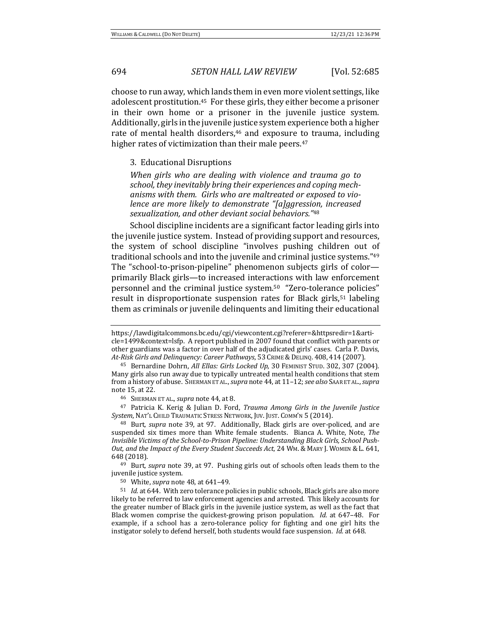choose to run away, which lands them in even more violent settings, like adolescent prostitution.<sup>45</sup> For these girls, they either become a prisoner in their own home or a prisoner in the juvenile justice system. Additionally, girls in the juvenile justice system experience both a higher rate of mental health disorders, $46$  and exposure to trauma, including higher rates of victimization than their male peers. $47$ 

3. Educational Disruptions

When girls who are dealing with violence and trauma go to school, they inevitably bring their experiences and coping mechanisms with them. Girls who are maltreated or exposed to vio*lence are more likely to demonstrate "[a]ggression, increased sexualization, and other deviant social behaviors."*<sup>48</sup>

School discipline incidents are a significant factor leading girls into the juvenile justice system. Instead of providing support and resources, the system of school discipline "involves pushing children out of traditional schools and into the juvenile and criminal justice systems."<sup>49</sup> The "school-to-prison-pipeline" phenomenon subjects girls of colorprimarily Black girls—to increased interactions with law enforcement personnel and the criminal justice system.<sup>50</sup> "Zero-tolerance policies" result in disproportionate suspension rates for Black girls,<sup>51</sup> labeling them as criminals or juvenile delinquents and limiting their educational

46 SHERMAN ET AL., *supra* note 44, at 8.

<sup>47</sup> Patricia K. Kerig & Julian D. Ford, *Trauma Among Girls in the Juvenile Justice* System, NAT'L CHILD TRAUMATIC STRESS NETWORK, JUV. JUST. COMM'N 5 (2014).

<sup>48</sup> Burt, *supra* note 39, at 97. Additionally, Black girls are over-policed, and are suspended six times more than White female students. Bianca A. White, Note, The Invisible Victims of the School-to-Prison Pipeline: Understanding Black Girls, School Push-*Out, and the Impact of the Every Student Succeeds Act*, 24 WM. & MARY J. WOMEN & L. 641, 648 (2018). 

<sup>49</sup> Burt, *supra* note 39, at 97. Pushing girls out of schools often leads them to the juvenile justice system.

50 White, *supra* note 48, at 641–49.

<sup>51</sup> *Id.* at 644. With zero tolerance policies in public schools, Black girls are also more likely to be referred to law enforcement agencies and arrested. This likely accounts for the greater number of Black girls in the juvenile justice system, as well as the fact that Black women comprise the quickest-growing prison population. *Id.* at 647-48. For example, if a school has a zero-tolerance policy for fighting and one girl hits the instigator solely to defend herself, both students would face suspension. *Id.* at 648.

https://lawdigitalcommons.bc.edu/cgi/viewcontent.cgi?referer=&httpsredir=1&article=1499&context=lsfp. A report published in 2007 found that conflict with parents or other guardians was a factor in over half of the adjudicated girls' cases. Carla P. Davis, *At-Risk Girls and Delinquency: Career Pathways*, 53 CRIME &DELINQ. 408, 414 (2007). 

<sup>&</sup>lt;sup>45</sup> Bernardine Dohrn, *All Ellas: Girls Locked Up*, 30 FEMINIST STUD. 302, 307 (2004). Many girls also run away due to typically untreated mental health conditions that stem from a history of abuse. SHERMAN ET AL., *supra* note 44, at  $11-12$ ; *see also* SAAR ET AL., *supra* note 15, at 22.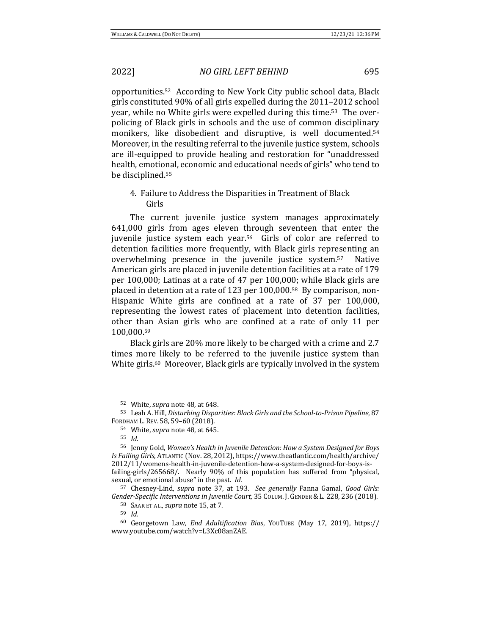opportunities.<sup>52</sup> According to New York City public school data, Black girls constituted 90% of all girls expelled during the 2011–2012 school year, while no White girls were expelled during this time.<sup>53</sup> The overpolicing of Black girls in schools and the use of common disciplinary monikers, like disobedient and disruptive, is well documented.<sup>54</sup> Moreover, in the resulting referral to the juvenile justice system, schools are ill-equipped to provide healing and restoration for "unaddressed health, emotional, economic and educational needs of girls" who tend to be disciplined.<sup>55</sup>

# 4. Failure to Address the Disparities in Treatment of Black Girls

The current juvenile justice system manages approximately 641,000 girls from ages eleven through seventeen that enter the juvenile justice system each year.<sup>56</sup> Girls of color are referred to detention facilities more frequently, with Black girls representing an overwhelming presence in the juvenile justice system.<sup>57</sup> Native American girls are placed in juvenile detention facilities at a rate of 179 per 100,000; Latinas at a rate of 47 per 100,000; while Black girls are placed in detention at a rate of 123 per  $100,000$ .<sup>58</sup> By comparison, non-Hispanic White girls are confined at a rate of 37 per 100,000, representing the lowest rates of placement into detention facilities, other than Asian girls who are confined at a rate of only 11 per 100,000.59

Black girls are 20% more likely to be charged with a crime and 2.7 times more likely to be referred to the juvenile justice system than White girls.<sup>60</sup> Moreover, Black girls are typically involved in the system

<sup>59</sup> *Id.*

<sup>52</sup> White, *supra* note 48, at 648.

<sup>53</sup> Leah A. Hill, *Disturbing Disparities: Black Girls and the School-to-Prison Pipeline*, 87 FORDHAM L. REV. 58, 59–60 (2018).

<sup>54</sup> White, *supra* note 48, at 645.

<sup>55</sup> *Id.*

<sup>&</sup>lt;sup>56</sup> Jenny Gold, Women's Health in Juvenile Detention: How a System Designed for Boys *Is Failing Girls*, ATLANTIC (Nov. 28, 2012), https://www.theatlantic.com/health/archive/ 2012/11/womens-health-in-juvenile-detention-how-a-system-designed-for-boys-isfailing-girls/265668/. Nearly 90% of this population has suffered from "physical, sexual, or emotional abuse" in the past. *Id.* 

<sup>57</sup> Chesney-Lind, *supra* note 37, at 193. *See generally* Fanna Gamal, *Good Girls:* Gender-Specific Interventions in Juvenile Court, 35 COLUM. J. GENDER & L. 228, 236 (2018).

<sup>58</sup> SAAR ET AL., *supra* note 15, at 7.

<sup>60</sup> Georgetown Law, *End Adultification Bias*, YOUTUBE (May 17, 2019), https:// www.youtube.com/watch?v=L3Xc08anZAE.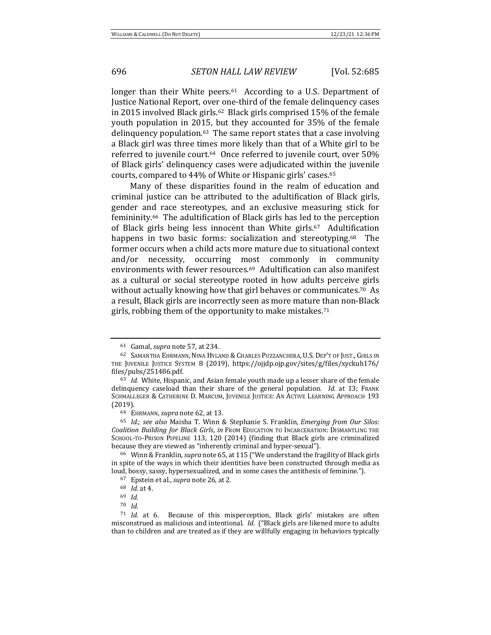longer than their White peers. $61$  According to a U.S. Department of Justice National Report, over one-third of the female delinquency cases in 2015 involved Black girls.<sup>62</sup> Black girls comprised  $15\%$  of the female youth population in 2015, but they accounted for 35% of the female delinguency population. $63$  The same report states that a case involving a Black girl was three times more likely than that of a White girl to be referred to juvenile court.<sup>64</sup> Once referred to juvenile court, over 50% of Black girls' delinquency cases were adjudicated within the juvenile courts, compared to 44% of White or Hispanic girls' cases.<sup>65</sup>

Many of these disparities found in the realm of education and criminal justice can be attributed to the adultification of Black girls, gender and race stereotypes, and an exclusive measuring stick for femininity.<sup>66</sup> The adultification of Black girls has led to the perception of Black girls being less innocent than White girls.<sup>67</sup> Adultification happens in two basic forms: socialization and stereotyping.<sup>68</sup> The former occurs when a child acts more mature due to situational context and/or necessity, occurring most commonly in community environments with fewer resources.<sup>69</sup> Adultification can also manifest as a cultural or social stereotype rooted in how adults perceive girls without actually knowing how that girl behaves or communicates.<sup>70</sup> As a result, Black girls are incorrectly seen as more mature than non-Black girls, robbing them of the opportunity to make mistakes.<sup>71</sup>

<sup>61</sup> Gamal, *supra* note 57, at 234.

<sup>62</sup> SAMANTHA EHRMANN, NINA HYLAND & CHARLES PUZZANCHERA, U.S. DEP'T OF JUST., GIRLS IN THE JUVENILE JUSTICE SYSTEM 8 (2019), https://ojjdp.ojp.gov/sites/g/files/xyckuh176/ files/pubs/251486.pdf.

<sup>&</sup>lt;sup>63</sup> *Id.* White, Hispanic, and Asian female youth made up a lesser share of the female delinquency caseload than their share of the general population. *Id.* at 13; FRANK SCHMALLEGER & CATHERINE D. MARCUM, JUVENILE JUSTICE: AN ACTIVE LEARNING APPROACH 193 (2019).

<sup>64</sup> EHRMANN, *supra* note 62, at 13.

<sup>&</sup>lt;sup>65</sup> *Id.*; see also Maisha T. Winn & Stephanie S. Franklin, *Emerging from Our Silos: Coalition Building for Black Girls, in* FROM EDUCATION TO INCARCERATION: DISMANTLING THE SCHOOL-TO-PRISON PIPELINE 113, 120 (2014) (finding that Black girls are criminalized because they are viewed as "inherently criminal and hyper-sexual").

<sup>&</sup>lt;sup>66</sup> Winn & Franklin, *supra* note 65, at 115 ("We understand the fragility of Black girls in spite of the ways in which their identities have been constructed through media as loud, bossy, sassy, hypersexualized, and in some cases the antithesis of feminine.").

<sup>67</sup> Epstein et al., *supra* note 26, at 2.

<sup>68</sup> *Id.* at 4.

<sup>69</sup> *Id.*

<sup>70</sup> *Id.* 

<sup>71</sup> *Id.* at 6. Because of this misperception, Black girls' mistakes are often misconstrued as malicious and intentional. *Id.* ("Black girls are likened more to adults than to children and are treated as if they are willfully engaging in behaviors typically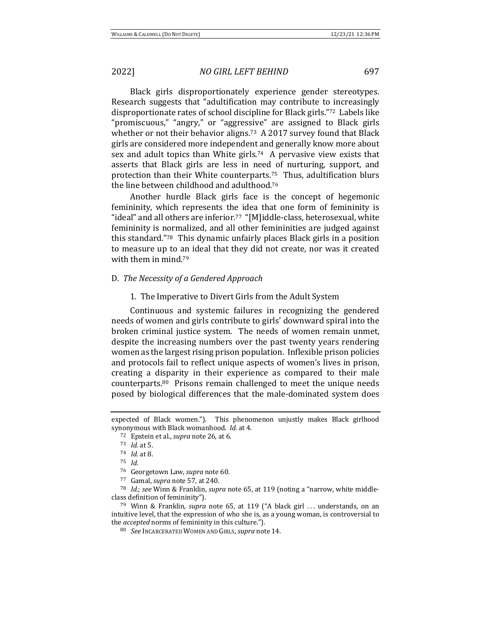# 2022] *NO GIRL LEFT BEHIND* 697

Black girls disproportionately experience gender stereotypes. Research suggests that "adultification may contribute to increasingly disproportionate rates of school discipline for Black girls."<sup>72</sup> Labels like "promiscuous," "angry," or "aggressive" are assigned to Black girls whether or not their behavior aligns.<sup>73</sup> A 2017 survey found that Black girls are considered more independent and generally know more about sex and adult topics than White girls.<sup>74</sup> A pervasive view exists that asserts that Black girls are less in need of nurturing, support, and protection than their White counterparts.<sup>75</sup> Thus, adultification blurs the line between childhood and adulthood.<sup>76</sup>

Another hurdle Black girls face is the concept of hegemonic femininity, which represents the idea that one form of femininity is "ideal" and all others are inferior.<sup>77</sup> "[M]iddle-class, heterosexual, white femininity is normalized, and all other femininities are judged against this standard." $78$  This dynamic unfairly places Black girls in a position to measure up to an ideal that they did not create, nor was it created with them in mind.<sup>79</sup>

### D. The Necessity of a Gendered Approach

### 1. The Imperative to Divert Girls from the Adult System

Continuous and systemic failures in recognizing the gendered needs of women and girls contribute to girls' downward spiral into the broken criminal justice system. The needs of women remain unmet, despite the increasing numbers over the past twenty years rendering women as the largest rising prison population. Inflexible prison policies and protocols fail to reflect unique aspects of women's lives in prison, creating a disparity in their experience as compared to their male counterparts.<sup>80</sup> Prisons remain challenged to meet the unique needs posed by biological differences that the male-dominated system does

expected of Black women."). This phenomenon unjustly makes Black girlhood synonymous with Black womanhood. *Id.* at 4.

<sup>72</sup> Epstein et al., *supra* note 26, at 6.

 $73$  *Id.* at 5.

<sup>74</sup> *Id.* at 8.

<sup>75</sup> *Id.*

<sup>&</sup>lt;sup>76</sup> Georgetown Law, *supra* note 60.

<sup>&</sup>lt;sup>77</sup> Gamal, *supra* note 57, at 240.

<sup>78</sup> *Id.*; see Winn & Franklin, supra note 65, at 119 (noting a "narrow, white middleclass definition of femininity").

<sup>&</sup>lt;sup>79</sup> Winn & Franklin, *supra* note 65, at 119 ("A black girl ... understands, on an intuitive level, that the expression of who she is, as a young woman, is controversial to the *accepted* norms of femininity in this culture.").

<sup>80</sup> *See* INCARCERATED WOMEN AND GIRLS, *supra* note 14.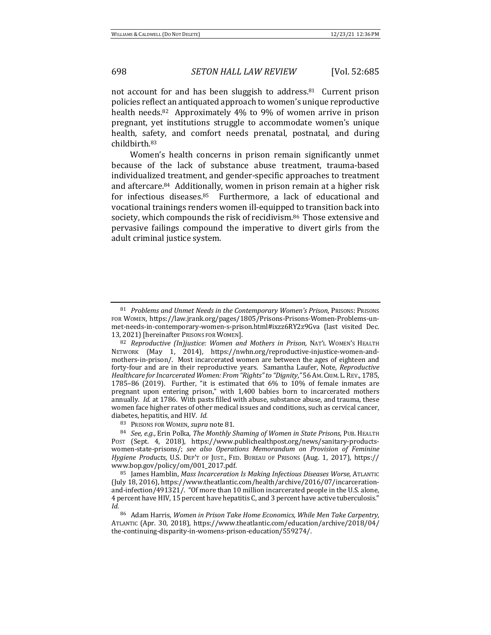not account for and has been sluggish to address.<sup>81</sup> Current prison policies reflect an antiquated approach to women's unique reproductive health needs.<sup>82</sup> Approximately  $4\%$  to  $9\%$  of women arrive in prison pregnant, yet institutions struggle to accommodate women's unique health, safety, and comfort needs prenatal, postnatal, and during childbirth.83 

Women's health concerns in prison remain significantly unmet because of the lack of substance abuse treatment, trauma-based individualized treatment, and gender-specific approaches to treatment and aftercare. $84$  Additionally, women in prison remain at a higher risk for infectious diseases. $85$  Furthermore, a lack of educational and vocational trainings renders women ill-equipped to transition back into society, which compounds the risk of recidivism.<sup>86</sup> Those extensive and pervasive failings compound the imperative to divert girls from the adult criminal justice system.

83 PRISONS FOR WOMEN, *supra* note 81.

<sup>81</sup> *Problems and Unmet Needs in the Contemporary Women's Prison*, PRISONS: PRISONS FOR WOMEN, https://law.jrank.org/pages/1805/Prisons-Prisons-Women-Problems-unmet-needs-in-contemporary-women-s-prison.html#ixzz6RY2z9Gva (last visited Dec. 13, 2021) [hereinafter Prisons FOR WOMEN].

<sup>82</sup> *Reproductive (In)justice: Women and Mothers in Prison*, NAT'L WOMEN'S HEALTH NETWORK (May 1, 2014), https://nwhn.org/reproductive-injustice-women-andmothers-in-prison/. Most incarcerated women are between the ages of eighteen and forty-four and are in their reproductive years. Samantha Laufer, Note, Reproductive *Healthcare for Incarcerated Women: From "Rights" to "Dignity,"* 56 Am. CRIM. L. REV., 1785, 1785-86 (2019). Further, "it is estimated that  $6\%$  to  $10\%$  of female inmates are pregnant upon entering prison," with  $1,400$  babies born to incarcerated mothers annually. *Id.* at 1786. With pasts filled with abuse, substance abuse, and trauma, these women face higher rates of other medical issues and conditions, such as cervical cancer, diabetes, hepatitis, and HIV. *Id.* 

<sup>84</sup> *See, e.g.*, Erin Polka, *The Monthly Shaming of Women in State Prisons*, PUB. HEALTH Post (Sept. 4, 2018), https://www.publichealthpost.org/news/sanitary-productswomen-state-prisons/; see also Operations Memorandum on Provision of Feminine *Hygiene Products*, U.S. DEP'T OF JUST., FED. BUREAU OF PRISONS (Aug. 1, 2017), https:// www.bop.gov/policy/om/001\_2017.pdf. 

<sup>85</sup> James Hamblin, *Mass Incarceration Is Making Infectious Diseases Worse*, ATLANTIC (July 18, 2016), https://www.theatlantic.com/health/archive/2016/07/incarcerationand-infection/491321/. "Of more than 10 million incarcerated people in the U.S. alone, 4 percent have HIV, 15 percent have hepatitis C, and 3 percent have active tuberculosis." *Id.*

<sup>86</sup> Adam Harris, Women in Prison Take Home Economics, While Men Take Carpentry, ATLANTIC (Apr. 30, 2018), https://www.theatlantic.com/education/archive/2018/04/ the-continuing-disparity-in-womens-prison-education/559274/.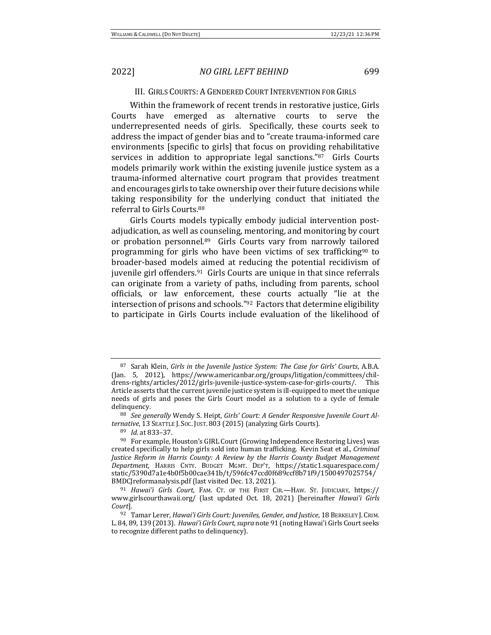# 2022] *NO GIRL LEFT BEHIND* 699

### III. GIRLS COURTS: A GENDERED COURT INTERVENTION FOR GIRLS

Within the framework of recent trends in restorative justice, Girls Courts have emerged as alternative courts to serve the underrepresented needs of girls. Specifically, these courts seek to address the impact of gender bias and to "create trauma-informed care environments [specific to girls] that focus on providing rehabilitative services in addition to appropriate legal sanctions." $87$  Girls Courts models primarily work within the existing juvenile justice system as a trauma-informed alternative court program that provides treatment and encourages girls to take ownership over their future decisions while taking responsibility for the underlying conduct that initiated the referral to Girls Courts.<sup>88</sup>

Girls Courts models typically embody judicial intervention postadjudication, as well as counseling, mentoring, and monitoring by court or probation personnel.<sup>89</sup> Girls Courts vary from narrowly tailored programming for girls who have been victims of sex trafficking<sup>90</sup> to broader-based models aimed at reducing the potential recidivism of juvenile girl offenders.<sup>91</sup> Girls Courts are unique in that since referrals can originate from a variety of paths, including from parents, school officials, or law enforcement, these courts actually "lie at the intersection of prisons and schools."<sup>92</sup> Factors that determine eligibility to participate in Girls Courts include evaluation of the likelihood of

<sup>89</sup> *Id.* at 833–37.

<sup>87</sup> Sarah Klein, *Girls in the Juvenile Justice System: The Case for Girls' Courts*, A.B.A. (Jan. 5, 2012), https://www.americanbar.org/groups/litigation/committees/childrens-rights/articles/2012/girls-juvenile-justice-system-case-for-girls-courts/. This Article asserts that the current juvenile justice system is ill-equipped to meet the unique needs of girls and poses the Girls Court model as a solution to a cycle of female delinquency.

<sup>88</sup> See generally Wendy S. Heipt, Girls' Court: A Gender Responsive Juvenile Court Al*ternative*, 13 SEATTLE J. Soc. JUST. 803 (2015) (analyzing Girls Courts).

<sup>90</sup> For example, Houston's GIRL Court (Growing Independence Restoring Lives) was created specifically to help girls sold into human trafficking. Kevin Seat et al., *Criminal Justice Reform in Harris County: A Review by the Harris County Budget Management Department*, HARRIS CNTY. BUDGET MGMT. DEP'T, https://static1.squarespace.com/ static/5390d7a1e4b0f5b00cae341b/t/596fc47ccd0f689ccf8b71f9/1500497025754/ BMDCJ reformanalysis.pdf (last visited Dec. 13, 2021).

<sup>&</sup>lt;sup>91</sup> *Hawai'i Girls Court*, FAM. CT. OF THE FIRST CIR.—HAW. ST. JUDICIARY, https:// www.girlscourthawaii.org/ (last updated Oct. 18, 2021) [hereinafter *Hawai'i Girls Court*].

<sup>92</sup> Tamar Lerer, *Hawai'i Girls Court: Juveniles, Gender, and Justice*, 18 BERKELEY J. CRIM. L.84, 89, 139 (2013). *Hawai'i Girls Court, supra* note 91 (noting Hawai'i Girls Court seeks to recognize different paths to delinquency).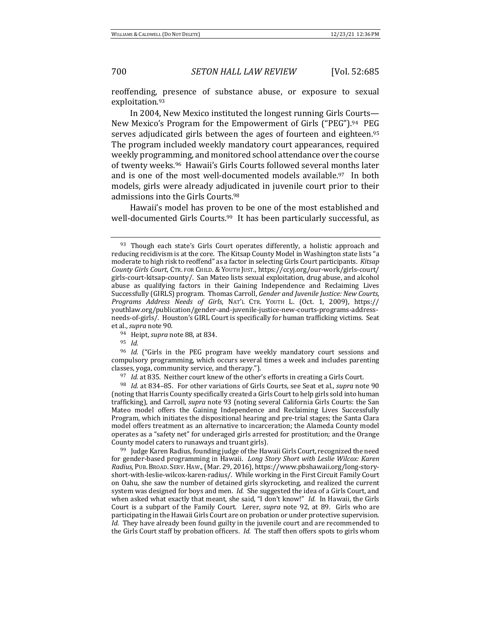reoffending, presence of substance abuse, or exposure to sexual exploitation.93

In 2004, New Mexico instituted the longest running Girls Courts— New Mexico's Program for the Empowerment of Girls ("PEG").<sup>94</sup> PEG serves adjudicated girls between the ages of fourteen and eighteen.<sup>95</sup> The program included weekly mandatory court appearances, required weekly programming, and monitored school attendance over the course of twenty weeks.<sup>96</sup> Hawaii's Girls Courts followed several months later and is one of the most well-documented models available.<sup>97</sup> In both models, girls were already adjudicated in juvenile court prior to their admissions into the Girls Courts.<sup>98</sup>

Hawaii's model has proven to be one of the most established and well-documented Girls Courts.<sup>99</sup> It has been particularly successful, as

<sup>95</sup> *Id.*

<sup>96</sup> *Id.* ("Girls in the PEG program have weekly mandatory court sessions and compulsory programming, which occurs several times a week and includes parenting classes, yoga, community service, and therapy.").

<sup>97</sup> *Id.* at 835. Neither court knew of the other's efforts in creating a Girls Court.

<sup>98</sup> *Id.* at 834–85. For other variations of Girls Courts, see Seat et al., *supra* note 90 (noting that Harris County specifically created a Girls Court to help girls sold into human trafficking), and Carroll, *supra* note 93 (noting several California Girls Courts: the San Mateo model offers the Gaining Independence and Reclaiming Lives Successfully Program, which initiates the dispositional hearing and pre-trial stages; the Santa Clara model offers treatment as an alternative to incarceration; the Alameda County model operates as a "safety net" for underaged girls arrested for prostitution; and the Orange County model caters to runaways and truant girls).

 $99$  Judge Karen Radius, founding judge of the Hawaii Girls Court, recognized the need for gender-based programming in Hawaii. *Long Story Short with Leslie Wilcox: Karen* Radius, PUB. BROAD. SERV. HAW., (Mar. 29, 2016), https://www.pbshawaii.org/long-storyshort-with-leslie-wilcox-karen-radius/. While working in the First Circuit Family Court on Oahu, she saw the number of detained girls skyrocketing, and realized the current system was designed for boys and men. *Id.* She suggested the idea of a Girls Court, and when asked what exactly that meant, she said, "I don't know!" *Id.* In Hawaii, the Girls Court is a subpart of the Family Court. Lerer, *supra* note 92, at 89. Girls who are participating in the Hawaii Girls Court are on probation or under protective supervision. *Id.* They have already been found guilty in the juvenile court and are recommended to the Girls Court staff by probation officers. *Id.* The staff then offers spots to girls whom

 $93$  Though each state's Girls Court operates differently, a holistic approach and reducing recidivism is at the core. The Kitsap County Model in Washington state lists "a moderate to high risk to reoffend" as a factor in selecting Girls Court participants. *Kitsap County Girls Court*, CTR. FOR CHILD. & YOUTH JUST., https://ccyj.org/our-work/girls-court/ girls-court-kitsap-county/. San Mateo lists sexual exploitation, drug abuse, and alcohol abuse as qualifying factors in their Gaining Independence and Reclaiming Lives Successfully (GIRLS) program. Thomas Carroll, *Gender and Juvenile Justice: New Courts*, *Programs Address Needs of Girls*, NAT'L CTR. YOUTH L. (Oct. 1, 2009), https:// youthlaw.org/publication/gender-and-juvenile-justice-new-courts-programs-addressneeds-of-girls/. Houston's GIRL Court is specifically for human trafficking victims. Seat et al., *supra* note 90.

<sup>&</sup>lt;sup>94</sup> Heipt, *supra* note 88, at 834.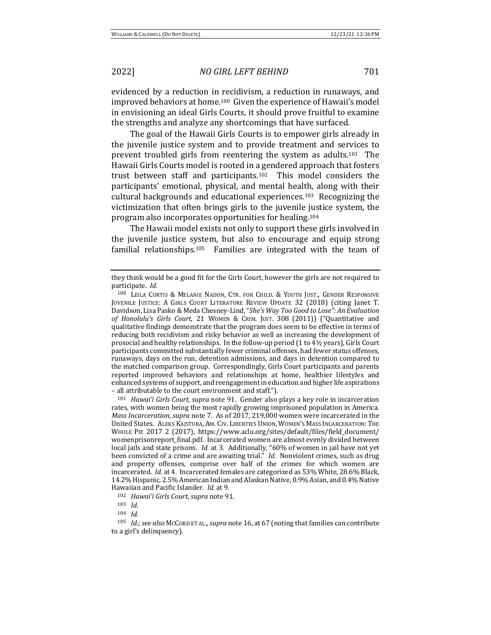evidenced by a reduction in recidivism, a reduction in runaways, and improved behaviors at home.<sup>100</sup> Given the experience of Hawaii's model in envisioning an ideal Girls Courts, it should prove fruitful to examine the strengths and analyze any shortcomings that have surfaced.

The goal of the Hawaii Girls Courts is to empower girls already in the juvenile justice system and to provide treatment and services to prevent troubled girls from reentering the system as adults.<sup>101</sup> The Hawaii Girls Courts model is rooted in a gendered approach that fosters trust between staff and participants.<sup>102</sup> This model considers the participants' emotional, physical, and mental health, along with their cultural backgrounds and educational experiences.<sup>103</sup> Recognizing the victimization that often brings girls to the juvenile justice system, the program also incorporates opportunities for healing.<sup>104</sup>

The Hawaii model exists not only to support these girls involved in the juvenile justice system, but also to encourage and equip strong familial relationships.<sup>105</sup> Families are integrated with the team of

<sup>101</sup> *Hawai'i Girls Court, supra* note 91. Gender also plays a key role in incarceration rates, with women being the most rapidly growing imprisoned population in America. *Mass Incarceration, supra* note 7. As of 2017, 219,000 women were incarcerated in the United States. ALEKS KAJSTURA, AM. CIV. LIBERTIES UNION, WOMEN'S MASS INCARCERATION: THE WHOLE PIE 2017 2 (2017), https://www.aclu.org/sites/default/files/field\_document/ womenprisonreport\_final.pdf. Incarcerated women are almost evenly divided between local jails and state prisons. *Id.* at 3. Additionally, "60% of women in jail have not yet been convicted of a crime and are awaiting trial." *Id.* Nonviolent crimes, such as drug and property offenses, comprise over half of the crimes for which women are incarcerated. *Id.* at 4. Incarcerated females are categorized as 53% White, 28.6% Black, 14.2% Hispanic, 2.5% American Indian and Alaskan Native, 0.9% Asian, and 0.4% Native Hawaiian and Pacific Islander. *Id.* at 9.

102 *Hawai'i Girls Court, supra* note 91.

they think would be a good fit for the Girls Court, however the girls are not required to participate. *Id.* 

<sup>100</sup> LEILA CURTIS & MELANIE NADON, CTR. FOR CHILD. & YOUTH JUST., GENDER RESPONSIVE JUVENILE JUSTICE: A GIRLS COURT LITERATURE REVIEW UPDATE 32 (2018) (citing Janet T. Davidson, Lisa Pasko & Meda Chesney-Lind, "She's Way Too Good to Lose": An Evaluation of Honolulu's Girls Court, 21 WOMEN & CRIM. JUST. 308 (2011)) ("Quantitative and qualitative findings demonstrate that the program does seem to be effective in terms of reducing both recidivism and risky behavior as well as increasing the development of prosocial and healthy relationships. In the follow-up period  $(1$  to  $4\frac{1}{2}$  years), Girls Court participants committed substantially fewer criminal offenses, had fewer status offenses, runaways, days on the run, detention admissions, and days in detention compared to the matched comparison group. Correspondingly, Girls Court participants and parents reported improved behaviors and relationships at home, healthier lifestyles and enhanced systems of support, and reengagement in education and higher life aspirations - all attributable to the court environment and staff.").

<sup>103</sup> *Id.*

<sup>104</sup> *Id.*

<sup>105</sup> *Id.*; see also McCord ET AL., supra note 16, at 67 (noting that families can contribute to a girl's delinquency).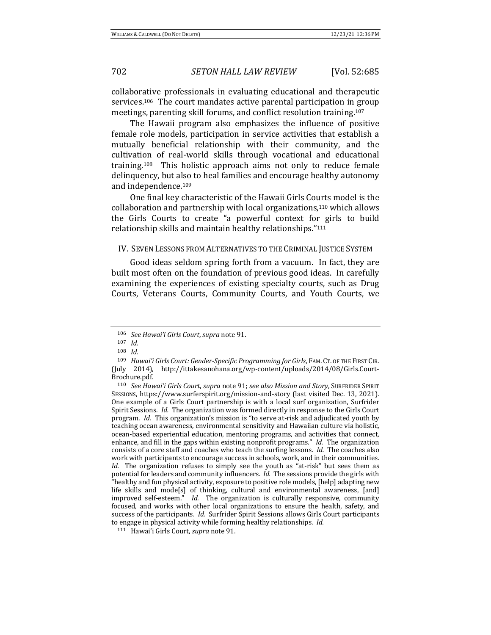collaborative professionals in evaluating educational and therapeutic services.<sup>106</sup> The court mandates active parental participation in group meetings, parenting skill forums, and conflict resolution training.<sup>107</sup>

The Hawaii program also emphasizes the influence of positive female role models, participation in service activities that establish a mutually beneficial relationship with their community, and the cultivation of real-world skills through vocational and educational training.<sup>108</sup> This holistic approach aims not only to reduce female delinquency, but also to heal families and encourage healthy autonomy and independence.<sup>109</sup>

One final key characteristic of the Hawaii Girls Courts model is the collaboration and partnership with local organizations,<sup>110</sup> which allows the Girls Courts to create "a powerful context for girls to build relationship skills and maintain healthy relationships."<sup>111</sup>

### IV. SEVEN LESSONS FROM ALTERNATIVES TO THE CRIMINAL JUSTICE SYSTEM

Good ideas seldom spring forth from a vacuum. In fact, they are built most often on the foundation of previous good ideas. In carefully examining the experiences of existing specialty courts, such as Drug Courts, Veterans Courts, Community Courts, and Youth Courts, we

<sup>106</sup> *See Hawai'i Girls Court, supra* note 91.

<sup>107</sup> *Id.*

<sup>108</sup> *Id.*

<sup>109</sup> *Hawai'i Girls Court: Gender-Specific Programming for Girls*, FAM. CT. OF THE FIRST CIR. (July 2014), http://ittakesanohana.org/wp-content/uploads/2014/08/Girls.Court-Brochure.pdf. 

<sup>110</sup> *See Hawai'i Girls Court, supra* note 91; *see also Mission and Story*, SURFRIDER SPIRIT SESSIONS, https://www.surferspirit.org/mission-and-story (last visited Dec. 13, 2021). One example of a Girls Court partnership is with a local surf organization, Surfrider Spirit Sessions. *Id.* The organization was formed directly in response to the Girls Court program. *Id.* This organization's mission is "to serve at-risk and adjudicated youth by teaching ocean awareness, environmental sensitivity and Hawaiian culture via holistic, ocean-based experiential education, mentoring programs, and activities that connect, enhance, and fill in the gaps within existing nonprofit programs." *Id.* The organization consists of a core staff and coaches who teach the surfing lessons. *Id.* The coaches also work with participants to encourage success in schools, work, and in their communities. *Id.* The organization refuses to simply see the youth as "at-risk" but sees them as potential for leaders and community influencers. *Id.* The sessions provide the girls with "healthy and fun physical activity, exposure to positive role models, [help] adapting new life skills and mode[s] of thinking, cultural and environmental awareness, [and] improved self-esteem." *Id.* The organization is culturally responsive, community focused, and works with other local organizations to ensure the health, safety, and success of the participants. *Id.* Surfrider Spirit Sessions allows Girls Court participants to engage in physical activity while forming healthy relationships. *Id.* 

<sup>111</sup> Hawai'i Girls Court, *supra* note 91.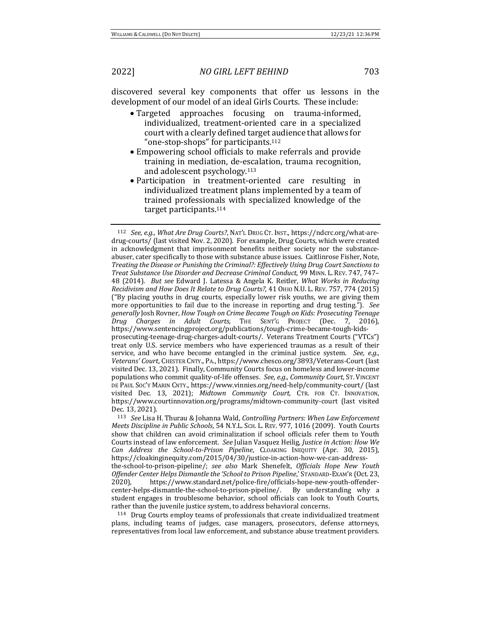discovered several key components that offer us lessons in the development of our model of an ideal Girls Courts. These include:

- Targeted approaches focusing on trauma-informed, individualized, treatment-oriented care in a specialized court with a clearly defined target audience that allows for "one-stop-shops" for participants.<sup>112</sup>
- Empowering school officials to make referrals and provide training in mediation, de-escalation, trauma recognition, and adolescent  $psvchology.<sup>113</sup>$
- Participation in treatment-oriented care resulting in individualized treatment plans implemented by a team of trained professionals with specialized knowledge of the target participants.<sup>114</sup>

<sup>113</sup> *See Lisa H. Thurau & Johanna Wald, Controlling Partners: When Law Enforcement Meets Discipline in Public Schools*, 54 N.Y.L. Sch. L. REV. 977, 1016 (2009). Youth Courts show that children can avoid criminalization if school officials refer them to Youth Courts instead of law enforcement. See Julian Vasquez Heilig, *Justice in Action: How We Can Address the School-to-Prison Pipeline*, CLOAKING INEQUITY (Apr. 30, 2015), https://cloakinginequity.com/2015/04/30/justice-in-action-how-we-can-addressthe-school-to-prison-pipeline/; see also Mark Shenefelt, *Officials Hope New Youth Offender Center Helps Dismantle the 'School to Prison Pipeline*,' STANDARD-EXAM'R (Oct. 23, 2020), https://www.standard.net/police-fire/officials-hope-new-youth-offendercenter-helps-dismantle-the-school-to-prison-pipeline/. By understanding why a student engages in troublesome behavior, school officials can look to Youth Courts, rather than the juvenile justice system, to address behavioral concerns.

114 Drug Courts employ teams of professionals that create individualized treatment plans, including teams of judges, case managers, prosecutors, defense attorneys, representatives from local law enforcement, and substance abuse treatment providers.

<sup>112</sup> *See, e.g., What Are Drug Courts?*, NAT'L DRUG CT. INST., https://ndcrc.org/what-aredrug-courts/ (last visited Nov. 2, 2020). For example, Drug Courts, which were created in acknowledgment that imprisonment benefits neither society nor the substanceabuser, cater specifically to those with substance abuse issues. Caitlinrose Fisher, Note, *Treating the Disease or Punishing the Criminal?: Effectively Using Drug Court Sanctions to Treat Substance Use Disorder and Decrease Criminal Conduct*, 99 MINN. L. REV. 747, 747– 48 (2014). *But see* Edward J. Latessa & Angela K. Reitler, *What Works in Reducing Recidivism and How Does It Relate to Drug Courts?*, 41 OHIO N.U. L. REV. 757, 774 (2015) ("By placing youths in drug courts, especially lower risk youths, we are giving them more opportunities to fail due to the increase in reporting and drug testing."). See generally Josh Rovner, *How Tough on Crime Became Tough on Kids: Prosecuting Teenage Drug Charges in Adult Courts*, THE SENT'G PROJECT (Dec. 7, 2016), https://www.sentencingproject.org/publications/tough-crime-became-tough-kidsprosecuting-teenage-drug-charges-adult-courts/. Veterans Treatment Courts ("VTCs") treat only U.S. service members who have experienced traumas as a result of their service, and who have become entangled in the criminal justice system. See, e.g., *Veterans' Court*, CHESTER CNTY., PA., https://www.chesco.org/3893/Veterans-Court (last visited Dec. 13, 2021). Finally, Community Courts focus on homeless and lower-income populations who commit quality-of-life offenses. See, e.g., Community Court, ST. VINCENT DE PAUL Soc'y MARIN CNTY., https://www.vinnies.org/need-help/community-court/ (last visited Dec. 13, 2021); *Midtown Community Court*, CTR. FOR CT. INNOVATION, https://www.courtinnovation.org/programs/midtown-community-court (last visited Dec. 13, 2021).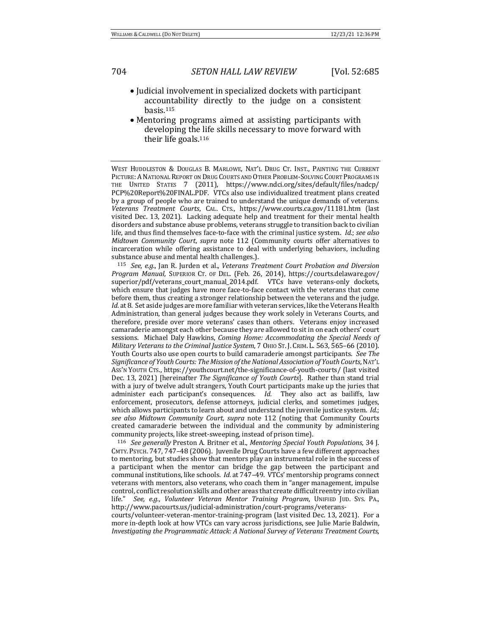- Judicial involvement in specialized dockets with participant accountability directly to the judge on a consistent basis.115
- Mentoring programs aimed at assisting participants with developing the life skills necessary to move forward with their life goals. $116$

WEST HUDDLESTON & DOUGLAS B. MARLOWE, NAT'L DRUG CT. INST., PAINTING THE CURRENT PICTURE: A NATIONAL REPORT ON DRUG COURTS AND OTHER PROBLEM-SOLVING COURT PROGRAMS IN THE UNITED STATES 7 (2011), https://www.ndci.org/sites/default/files/nadcp/ PCP%20Report%20FINAL.PDF. VTCs also use individualized treatment plans created by a group of people who are trained to understand the unique demands of veterans. *Veterans Treatment Courts*, CAL. CTS., https://www.courts.ca.gov/11181.htm (last visited Dec. 13, 2021). Lacking adequate help and treatment for their mental health disorders and substance abuse problems, veterans struggle to transition back to civilian life, and thus find themselves face-to-face with the criminal justice system. *Id.*; see also *Midtown Community Court, supra* note 112 (Community courts offer alternatives to incarceration while offering assistance to deal with underlying behaviors, including substance abuse and mental health challenges.).

115 *See, e.g.*, Jan R. Jurden et al., *Veterans Treatment Court Probation and Diversion Program Manual*, SUPERIOR CT. OF DEL. (Feb. 26, 2014), https://courts.delaware.gov/ superior/pdf/veterans\_court\_manual\_2014.pdf. VTCs have veterans-only dockets, which ensure that judges have more face-to-face contact with the veterans that come before them, thus creating a stronger relationship between the veterans and the judge. *Id.* at 8. Set aside judges are more familiar with veteran services, like the Veterans Health Administration, than general judges because they work solely in Veterans Courts, and therefore, preside over more veterans' cases than others. Veterans enjoy increased camaraderie amongst each other because they are allowed to sit in on each others' court sessions. Michael Daly Hawkins, *Coming Home: Accommodating the Special Needs of Military Veterans to the Criminal Justice System, 7 OHIO ST. J. CRIM. L. 563, 565-66 (2010).* Youth Courts also use open courts to build camaraderie amongst participants. See The Significance of Youth Courts: The Mission of the National Association of Youth Courts, NAT'L Ass'n Youth Crs., https://youthcourt.net/the-significance-of-youth-courts/ (last visited Dec. 13, 2021) [hereinafter *The Significance of Youth Courts*]. Rather than stand trial with a jury of twelve adult strangers, Youth Court participants make up the juries that administer each participant's consequences. *Id.* They also act as bailiffs, law enforcement, prosecutors, defense attorneys, judicial clerks, and sometimes judges, which allows participants to learn about and understand the juvenile justice system. *Id.*; *see also Midtown Community Court*, *supra* note 112 (noting that Community Courts created camaraderie between the individual and the community by administering community projects, like street-sweeping, instead of prison time).

116 *See generally* Preston A. Britner et al., *Mentoring Special Youth Populations*, 34 J. CMTY. PSYCH. 747, 747-48 (2006). Juvenile Drug Courts have a few different approaches to mentoring, but studies show that mentors play an instrumental role in the success of a participant when the mentor can bridge the gap between the participant and communal institutions, like schools. *Id.* at 747-49. VTCs' mentorship programs connect veterans with mentors, also veterans, who coach them in "anger management, impulse control, conflict resolution skills and other areas that create difficult reentry into civilian life." See, e.g., Volunteer Veteran Mentor Training Program, UNIFIED JUD. SYS. PA., http://www.pacourts.us/judicial-administration/court-programs/veterans-

courts/volunteer-veteran-mentor-training-program (last visited Dec. 13, 2021). For a more in-depth look at how VTCs can vary across jurisdictions, see Julie Marie Baldwin, *Investigating the Programmatic Attack: A National Survey of Veterans Treatment Courts,*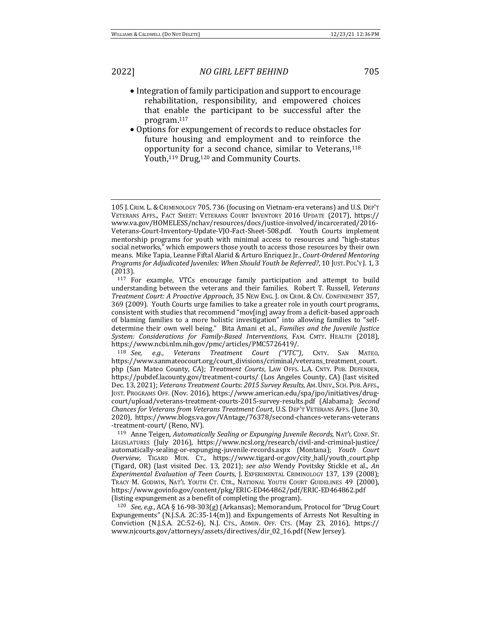- Integration of family participation and support to encourage rehabilitation, responsibility, and empowered choices that enable the participant to be successful after the program.117
- Options for expungement of records to reduce obstacles for future housing and employment and to reinforce the opportunity for a second chance, similar to Veterans,<sup>118</sup> Youth,<sup>119</sup> Drug,<sup>120</sup> and Community Courts.

120 *See, e.g.*, ACA § 16-98-303(g) (Arkansas); Memorandum, Protocol for "Drug Court Expungements" (N.J.S.A. 2C:35-14(m)) and Expungements of Arrests Not Resulting in Conviction (N.J.S.A. 2C:52-6), N.J. CTS., ADMIN. OFF. CTS. (May 23, 2016), https:// www.njcourts.gov/attorneys/assets/directives/dir\_02\_16.pdf (New Jersey).

<sup>105</sup> J. CRIM. L. & CRIMINOLOGY 705, 736 (focusing on Vietnam-era veterans) and U.S. DEP'T VETERANS AFFS., FACT SHEET: VETERANS COURT INVENTORY 2016 UPDATE (2017), https:// www.va.gov/HOMELESS/nchav/resources/docs/justice-involved/incarcerated/2016- Veterans-Court-Inventory-Update-VJO-Fact-Sheet-508.pdf. Youth Courts implement mentorship programs for youth with minimal access to resources and "high-status" social networks," which empowers those youth to access those resources by their own means. Mike Tapia, Leanne Fiftal Alarid & Arturo Enriquez Jr., *Court-Ordered Mentoring* Programs for Adjudicated Juveniles: When Should Youth be Referred?, 10 JUST. POL'Y J. 1, 3 (2013).

<sup>&</sup>lt;sup>117</sup> For example, VTCs encourage family participation and attempt to build understanding between the veterans and their families. Robert T. Russell, Veterans *Treatment Court: A Proactive Approach*, 35 NEW ENG. J. ON CRIM. & CIV. CONFINEMENT 357, 369 (2009). Youth Courts urge families to take a greater role in youth court programs, consistent with studies that recommend "mov[ing] away from a deficit-based approach of blaming families to a more holistic investigation" into allowing families to "selfdetermine their own well being." Bita Amani et al., *Families and the Juvenile Justice System: Considerations for Family-Based Interventions*, FAM. CMTY. HEALTH (2018), https://www.ncbi.nlm.nih.gov/pmc/articles/PMC5726419/.

<sup>118</sup> *See, e.g.*, *Veterans Treatment Court ("VTC")*, CNTY. SAN MATEO, https://www.sanmateocourt.org/court\_divisions/criminal/veterans\_treatment\_court. php (San Mateo County, CA); *Treatment Courts*, LAW OFFS. L.A. CNTY. PUB. DEFENDER, https://pubdef.lacounty.gov/treatment-courts/ (Los Angeles County, CA) (last visited Dec. 13, 2021); Veterans Treatment Courts: 2015 Survey Results, AM. UNIV., SCH. PUB. AFFS., JUST. PROGRAMS OFF. (Nov. 2016), https://www.american.edu/spa/jpo/initiatives/drugcourt/upload/veterans-treatment-courts-2015-survey-results.pdf (Alabama); *Second Chances for Veterans from Veterans Treatment Court*, U.S. DEP'T VETERANS AFFS. (June 30, 2020), https://www.blogs.va.gov/VAntage/76378/second-chances-veterans-veterans -treatment-court/ (Reno, NV).

<sup>&</sup>lt;sup>119</sup> Anne Teigen, *Automatically Sealing or Expunging Juvenile Records*, NAT'L CONF. ST. LEGISLATURES (July 2016), https://www.ncsl.org/research/civil-and-criminal-justice/ automatically-sealing-or-expunging-juvenile-records.aspx (Montana); *Youth Court Overview*, TIGARD MUN. CT., https://www.tigard-or.gov/city\_hall/youth\_court.php (Tigard, OR) (last visited Dec. 13, 2021); see also Wendy Povitsky Stickle et al., *An Experimental Evaluation of Teen Courts, J. EXPERIMENTAL CRIMINOLOGY 137, 139 (2008);* TRACY M. GODWIN, NAT'L YOUTH CT. CTR., NATIONAL YOUTH COURT GUIDELINES 49 (2000), https://www.govinfo.gov/content/pkg/ERIC-ED464862/pdf/ERIC-ED464862.pdf (listing expungement as a benefit of completing the program).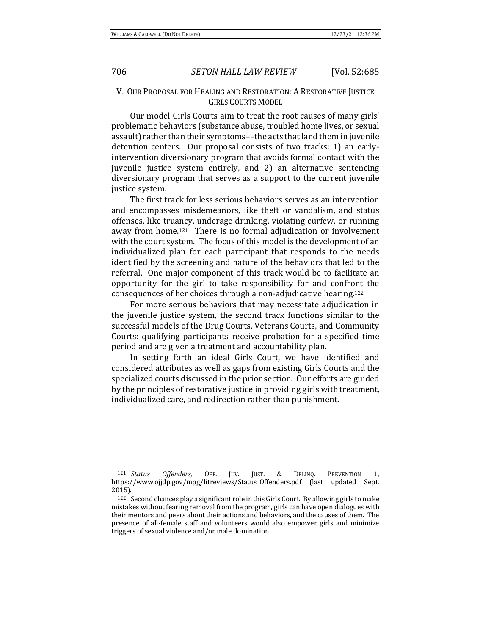# V. OUR PROPOSAL FOR HEALING AND RESTORATION: A RESTORATIVE JUSTICE GIRLS COURTS MODEL

Our model Girls Courts aim to treat the root causes of many girls' problematic behaviors (substance abuse, troubled home lives, or sexual assault) rather than their symptoms--the acts that land them in juvenile detention centers. Our proposal consists of two tracks: 1) an earlyintervention diversionary program that avoids formal contact with the juvenile justice system entirely, and 2) an alternative sentencing diversionary program that serves as a support to the current juvenile justice system.

The first track for less serious behaviors serves as an intervention and encompasses misdemeanors, like theft or vandalism, and status offenses, like truancy, underage drinking, violating curfew, or running away from home.<sup>121</sup> There is no formal adjudication or involvement with the court system. The focus of this model is the development of an individualized plan for each participant that responds to the needs identified by the screening and nature of the behaviors that led to the referral. One major component of this track would be to facilitate an opportunity for the girl to take responsibility for and confront the consequences of her choices through a non-adjudicative hearing.<sup>122</sup>

For more serious behaviors that may necessitate adjudication in the juvenile justice system, the second track functions similar to the successful models of the Drug Courts, Veterans Courts, and Community Courts: qualifying participants receive probation for a specified time period and are given a treatment and accountability plan.

In setting forth an ideal Girls Court, we have identified and considered attributes as well as gaps from existing Girls Courts and the specialized courts discussed in the prior section. Our efforts are guided by the principles of restorative justice in providing girls with treatment. individualized care, and redirection rather than punishment.

<sup>121</sup> *Status Offenders*, OFF. JUV. JUST. & DELINQ. PREVENTION 1, https://www.ojjdp.gov/mpg/litreviews/Status\_Offenders.pdf (last updated Sept. 2015). 

<sup>&</sup>lt;sup>122</sup> Second chances play a significant role in this Girls Court. By allowing girls to make mistakes without fearing removal from the program, girls can have open dialogues with their mentors and peers about their actions and behaviors, and the causes of them. The presence of all-female staff and volunteers would also empower girls and minimize triggers of sexual violence and/or male domination.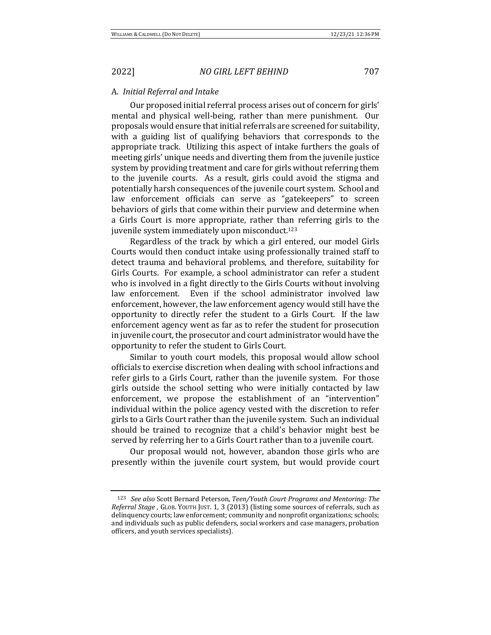### A. *Initial Referral and Intake*

Our proposed initial referral process arises out of concern for girls' mental and physical well-being, rather than mere punishment. Our proposals would ensure that initial referrals are screened for suitability, with a guiding list of qualifying behaviors that corresponds to the appropriate track. Utilizing this aspect of intake furthers the goals of meeting girls' unique needs and diverting them from the juvenile justice system by providing treatment and care for girls without referring them to the juvenile courts. As a result, girls could avoid the stigma and potentially harsh consequences of the juvenile court system. School and law enforcement officials can serve as "gatekeepers" to screen behaviors of girls that come within their purview and determine when a Girls Court is more appropriate, rather than referring girls to the juvenile system immediately upon misconduct.<sup>123</sup>

Regardless of the track by which a girl entered, our model Girls Courts would then conduct intake using professionally trained staff to detect trauma and behavioral problems, and therefore, suitability for Girls Courts. For example, a school administrator can refer a student who is involved in a fight directly to the Girls Courts without involving law enforcement. Even if the school administrator involved law enforcement, however, the law enforcement agency would still have the opportunity to directly refer the student to a Girls Court. If the law enforcement agency went as far as to refer the student for prosecution in juvenile court, the prosecutor and court administrator would have the opportunity to refer the student to Girls Court.

Similar to youth court models, this proposal would allow school officials to exercise discretion when dealing with school infractions and refer girls to a Girls Court, rather than the juvenile system. For those girls outside the school setting who were initially contacted by law enforcement, we propose the establishment of an "intervention" individual within the police agency vested with the discretion to refer girls to a Girls Court rather than the juvenile system. Such an individual should be trained to recognize that a child's behavior might best be served by referring her to a Girls Court rather than to a juvenile court.

Our proposal would not, however, abandon those girls who are presently within the juvenile court system, but would provide court

<sup>&</sup>lt;sup>123</sup> *See also* Scott Bernard Peterson, *Teen/Youth Court Programs and Mentoring: The Referral Stage* , GLOB. YOUTH JUST. 1, 3 (2013) (listing some sources of referrals, such as delinquency courts; law enforcement; community and nonprofit organizations; schools; and individuals such as public defenders, social workers and case managers, probation officers, and youth services specialists).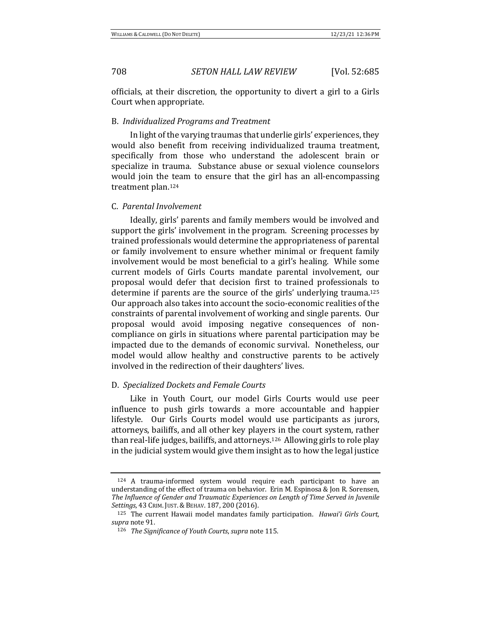officials, at their discretion, the opportunity to divert a girl to a Girls Court when appropriate.

### B. *Individualized Programs and Treatment*

In light of the varying traumas that underlie girls' experiences, they would also benefit from receiving individualized trauma treatment, specifically from those who understand the adolescent brain or specialize in trauma. Substance abuse or sexual violence counselors would join the team to ensure that the girl has an all-encompassing treatment plan.<sup>124</sup>

### C. *Parental Involvement*

Ideally, girls' parents and family members would be involved and support the girls' involvement in the program. Screening processes by trained professionals would determine the appropriateness of parental or family involvement to ensure whether minimal or frequent family involvement would be most beneficial to a girl's healing. While some current models of Girls Courts mandate parental involvement, our proposal would defer that decision first to trained professionals to determine if parents are the source of the girls' underlying trauma.<sup>125</sup> Our approach also takes into account the socio-economic realities of the constraints of parental involvement of working and single parents. Our proposal would avoid imposing negative consequences of noncompliance on girls in situations where parental participation may be impacted due to the demands of economic survival. Nonetheless, our model would allow healthy and constructive parents to be actively involved in the redirection of their daughters' lives.

### D. *Specialized Dockets and Female Courts*

Like in Youth Court, our model Girls Courts would use peer influence to push girls towards a more accountable and happier lifestyle. Our Girls Courts model would use participants as jurors, attorneys, bailiffs, and all other key players in the court system, rather than real-life judges, bailiffs, and attorneys.<sup>126</sup> Allowing girls to role play in the judicial system would give them insight as to how the legal justice

<sup>124</sup> A trauma-informed system would require each participant to have an understanding of the effect of trauma on behavior. Erin M. Espinosa & Jon R. Sorensen, The Influence of Gender and Traumatic Experiences on Length of Time Served in Juvenile *Settings*, 43 CRIM. JUST.&BEHAV. 187, 200 (2016). 

<sup>&</sup>lt;sup>125</sup> The current Hawaii model mandates family participation. *Hawai'i Girls Court*, supra note 91.

<sup>126</sup> *The Significance of Youth Courts, supra* note 115.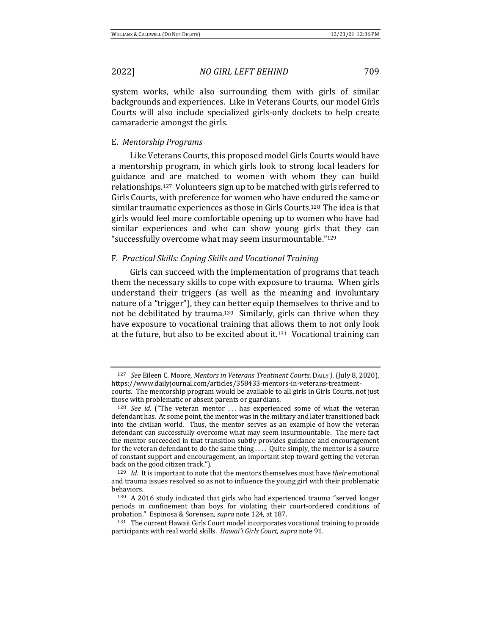system works, while also surrounding them with girls of similar backgrounds and experiences. Like in Veterans Courts, our model Girls Courts will also include specialized girls-only dockets to help create camaraderie amongst the girls.

### E. *Mentorship Programs*

Like Veterans Courts, this proposed model Girls Courts would have a mentorship program, in which girls look to strong local leaders for guidance and are matched to women with whom they can build relationships.<sup>127</sup> Volunteers sign up to be matched with girls referred to Girls Courts, with preference for women who have endured the same or similar traumatic experiences as those in Girls Courts.<sup>128</sup> The idea is that girls would feel more comfortable opening up to women who have had similar experiences and who can show young girls that they can "successfully overcome what may seem insurmountable."<sup>129</sup>

### F. *Practical Skills: Coping Skills and Vocational Training*

Girls can succeed with the implementation of programs that teach them the necessary skills to cope with exposure to trauma. When girls understand their triggers (as well as the meaning and involuntary nature of a "trigger"), they can better equip themselves to thrive and to not be debilitated by trauma.<sup>130</sup> Similarly, girls can thrive when they have exposure to vocational training that allows them to not only look at the future, but also to be excited about it.<sup>131</sup> Vocational training can

<sup>&</sup>lt;sup>127</sup> See Eileen C. Moore, *Mentors in Veterans Treatment Courts*, DAILY J. (July 8, 2020), https://www.dailyjournal.com/articles/358433-mentors-in-veterans-treatmentcourts. The mentorship program would be available to all girls in Girls Courts, not just those with problematic or absent parents or guardians.

 $128$  *See id.* ("The veteran mentor ... has experienced some of what the veteran defendant has. At some point, the mentor was in the military and later transitioned back into the civilian world. Thus, the mentor serves as an example of how the veteran defendant can successfully overcome what may seem insurmountable. The mere fact the mentor succeeded in that transition subtly provides guidance and encouragement for the veteran defendant to do the same thing  $\dots$  Quite simply, the mentor is a source of constant support and encouragement, an important step toward getting the veteran back on the good citizen track.").

<sup>&</sup>lt;sup>129</sup> *Id.* It is important to note that the mentors themselves must have their emotional and trauma issues resolved so as not to influence the young girl with their problematic behaviors. 

 $130$  A 2016 study indicated that girls who had experienced trauma "served longer periods in confinement than boys for violating their court-ordered conditions of probation." Espinosa & Sorensen, *supra* note 124, at 187.

<sup>&</sup>lt;sup>131</sup> The current Hawaii Girls Court model incorporates vocational training to provide participants with real world skills. Hawai'i Girls Court, supra note 91.